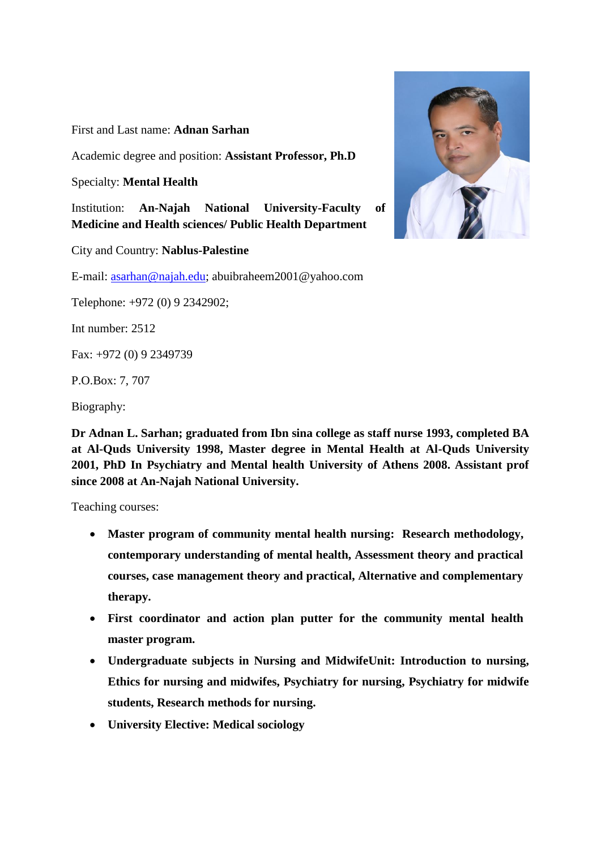First and Last name: **Adnan Sarhan**

Academic degree and position: **Assistant Professor, Ph.D**

Specialty: **Mental Health**

Institution: **An-Najah National University-Faculty of Medicine and Health sciences/ Public Health Department**

City and Country: **Nablus-Palestine**

E-mail: [asarhan@najah.edu;](mailto:asarhan@najah.edu) abuibraheem2001@yahoo.com

Telephone: +972 (0) 9 2342902;

Int number: 2512

Fax: +972 (0) 9 2349739

P.O.Box: 7, 707

Biography:

**Dr Adnan L. Sarhan; graduated from Ibn sina college as staff nurse 1993, completed BA at Al-Quds University 1998, Master degree in Mental Health at Al-Quds University 2001, PhD In Psychiatry and Mental health University of Athens 2008. Assistant prof since 2008 at An-Najah National University.**

Teaching courses:

- **Master program of community mental health nursing: Research methodology, contemporary understanding of mental health, Assessment theory and practical courses, case management theory and practical, Alternative and complementary therapy.**
- **First coordinator and action plan putter for the community mental health master program.**
- **Undergraduate subjects in Nursing and MidwifeUnit: Introduction to nursing, Ethics for nursing and midwifes, Psychiatry for nursing, Psychiatry for midwife students, Research methods for nursing.**
- **University Elective: Medical sociology**